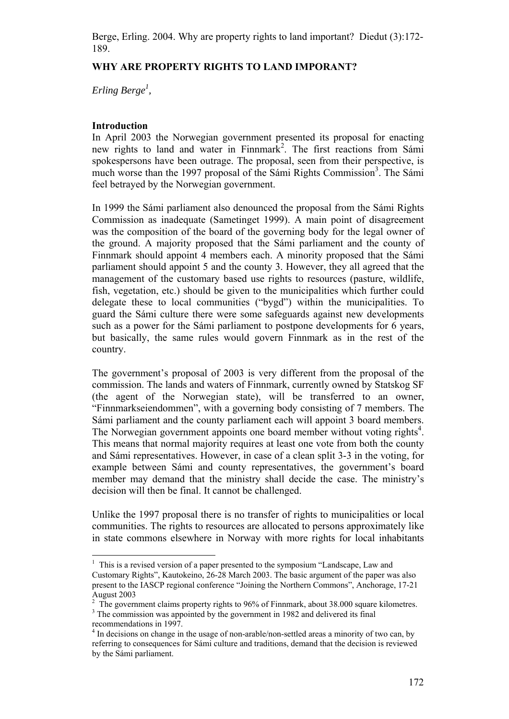# **WHY ARE PROPERTY RIGHTS TO LAND IMPORANT?**

*Erling Berge1 ,* 

# **Introduction**

In April 2003 the Norwegian government presented its proposal for enacting new rights to land and water in Finnmark<sup>2</sup>. The first reactions from Sámi spokespersons have been outrage. The proposal, seen from their perspective, is much worse than the 1997 proposal of the Sámi Rights Commission<sup>3</sup>. The Sámi feel betrayed by the Norwegian government.

In 1999 the Sámi parliament also denounced the proposal from the Sámi Rights Commission as inadequate (Sametinget 1999). A main point of disagreement was the composition of the board of the governing body for the legal owner of the ground. A majority proposed that the Sámi parliament and the county of Finnmark should appoint 4 members each. A minority proposed that the Sámi parliament should appoint 5 and the county 3. However, they all agreed that the management of the customary based use rights to resources (pasture, wildlife, fish, vegetation, etc.) should be given to the municipalities which further could delegate these to local communities ("bygd") within the municipalities. To guard the Sámi culture there were some safeguards against new developments such as a power for the Sámi parliament to postpone developments for 6 years, but basically, the same rules would govern Finnmark as in the rest of the country.

The government's proposal of 2003 is very different from the proposal of the commission. The lands and waters of Finnmark, currently owned by Statskog SF (the agent of the Norwegian state), will be transferred to an owner, "Finnmarkseiendommen", with a governing body consisting of 7 members. The Sámi parliament and the county parliament each will appoint 3 board members. The Norwegian government appoints one board member without voting rights<sup>4</sup>. This means that normal majority requires at least one vote from both the county and Sámi representatives. However, in case of a clean split 3-3 in the voting, for example between Sámi and county representatives, the government's board member may demand that the ministry shall decide the case. The ministry's decision will then be final. It cannot be challenged.

Unlike the 1997 proposal there is no transfer of rights to municipalities or local communities. The rights to resources are allocated to persons approximately like in state commons elsewhere in Norway with more rights for local inhabitants

 $<sup>1</sup>$  This is a revised version of a paper presented to the symposium "Landscape, Law and</sup> Customary Rights", Kautokeino, 26-28 March 2003. The basic argument of the paper was also present to the IASCP regional conference "Joining the Northern Commons", Anchorage, 17-21 August 2003

 $2$  The government claims property rights to 96% of Finnmark, about 38.000 square kilometres. <sup>3</sup> The commission was appointed by the government in 1982 and delivered its final

recommendations in 1997.

<sup>&</sup>lt;sup>4</sup> In decisions on change in the usage of non-arable/non-settled areas a minority of two can, by referring to consequences for Sámi culture and traditions, demand that the decision is reviewed by the Sámi parliament.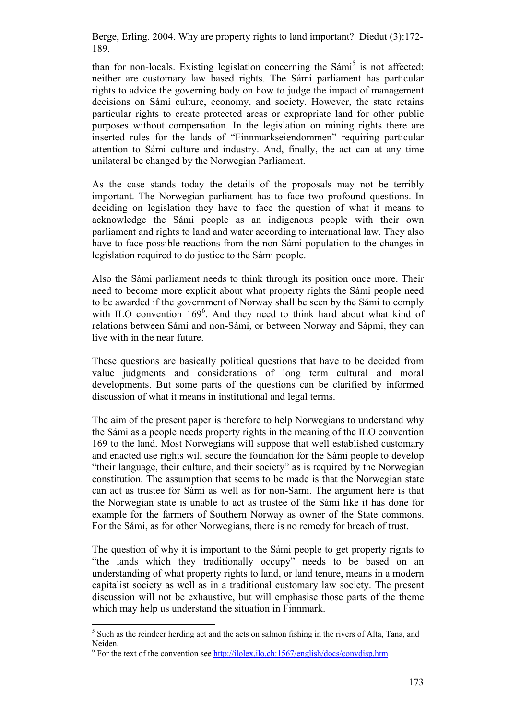than for non-locals. Existing legislation concerning the Sámi<sup>5</sup> is not affected; neither are customary law based rights. The Sámi parliament has particular rights to advice the governing body on how to judge the impact of management decisions on Sámi culture, economy, and society. However, the state retains particular rights to create protected areas or expropriate land for other public purposes without compensation. In the legislation on mining rights there are inserted rules for the lands of "Finnmarkseiendommen" requiring particular attention to Sámi culture and industry. And, finally, the act can at any time unilateral be changed by the Norwegian Parliament.

As the case stands today the details of the proposals may not be terribly important. The Norwegian parliament has to face two profound questions. In deciding on legislation they have to face the question of what it means to acknowledge the Sámi people as an indigenous people with their own parliament and rights to land and water according to international law. They also have to face possible reactions from the non-Sámi population to the changes in legislation required to do justice to the Sámi people.

Also the Sámi parliament needs to think through its position once more. Their need to become more explicit about what property rights the Sámi people need to be awarded if the government of Norway shall be seen by the Sámi to comply with ILO convention 169<sup>6</sup>. And they need to think hard about what kind of relations between Sámi and non-Sámi, or between Norway and Sápmi, they can live with in the near future.

These questions are basically political questions that have to be decided from value judgments and considerations of long term cultural and moral developments. But some parts of the questions can be clarified by informed discussion of what it means in institutional and legal terms.

The aim of the present paper is therefore to help Norwegians to understand why the Sámi as a people needs property rights in the meaning of the ILO convention 169 to the land. Most Norwegians will suppose that well established customary and enacted use rights will secure the foundation for the Sámi people to develop "their language, their culture, and their society" as is required by the Norwegian constitution. The assumption that seems to be made is that the Norwegian state can act as trustee for Sámi as well as for non-Sámi. The argument here is that the Norwegian state is unable to act as trustee of the Sámi like it has done for example for the farmers of Southern Norway as owner of the State commons. For the Sámi, as for other Norwegians, there is no remedy for breach of trust.

The question of why it is important to the Sámi people to get property rights to "the lands which they traditionally occupy" needs to be based on an understanding of what property rights to land, or land tenure, means in a modern capitalist society as well as in a traditional customary law society. The present discussion will not be exhaustive, but will emphasise those parts of the theme which may help us understand the situation in Finnmark.

<sup>&</sup>lt;sup>5</sup> Such as the reindeer herding act and the acts on salmon fishing in the rivers of Alta, Tana, and Neiden.

 $<sup>6</sup>$  For the text of the convention see  $\frac{http://ilolex.ilo.ch:1567/english/docs/convdisp.htm}{http://ilolex.ilo.ch:1567/english/docs/convdisp.htm}$ </sup>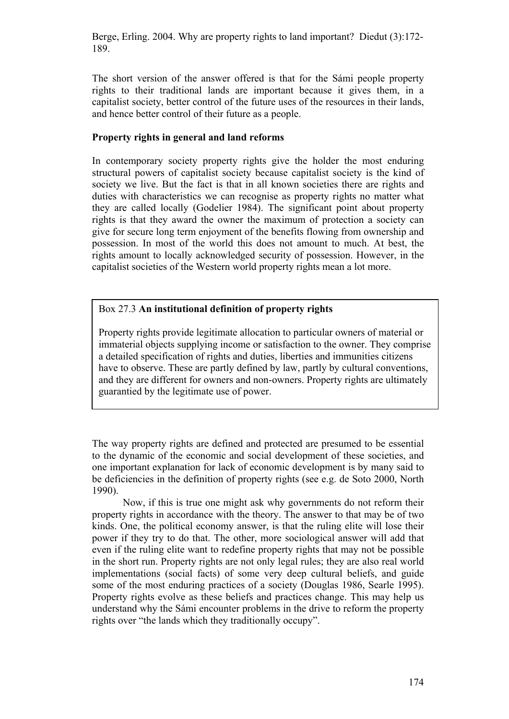The short version of the answer offered is that for the Sámi people property rights to their traditional lands are important because it gives them, in a capitalist society, better control of the future uses of the resources in their lands, and hence better control of their future as a people.

# **Property rights in general and land reforms**

In contemporary society property rights give the holder the most enduring structural powers of capitalist society because capitalist society is the kind of society we live. But the fact is that in all known societies there are rights and duties with characteristics we can recognise as property rights no matter what they are called locally (Godelier 1984). The significant point about property rights is that they award the owner the maximum of protection a society can give for secure long term enjoyment of the benefits flowing from ownership and possession. In most of the world this does not amount to much. At best, the rights amount to locally acknowledged security of possession. However, in the capitalist societies of the Western world property rights mean a lot more.

# Box 27.3 **An institutional definition of property rights**

Property rights provide legitimate allocation to particular owners of material or immaterial objects supplying income or satisfaction to the owner. They comprise a detailed specification of rights and duties, liberties and immunities citizens have to observe. These are partly defined by law, partly by cultural conventions, and they are different for owners and non-owners. Property rights are ultimately guarantied by the legitimate use of power.

The way property rights are defined and protected are presumed to be essential to the dynamic of the economic and social development of these societies, and one important explanation for lack of economic development is by many said to be deficiencies in the definition of property rights (see e.g. de Soto 2000, North 1990).

Now, if this is true one might ask why governments do not reform their property rights in accordance with the theory. The answer to that may be of two kinds. One, the political economy answer, is that the ruling elite will lose their power if they try to do that. The other, more sociological answer will add that even if the ruling elite want to redefine property rights that may not be possible in the short run. Property rights are not only legal rules; they are also real world implementations (social facts) of some very deep cultural beliefs, and guide some of the most enduring practices of a society (Douglas 1986, Searle 1995). Property rights evolve as these beliefs and practices change. This may help us understand why the Sámi encounter problems in the drive to reform the property rights over "the lands which they traditionally occupy".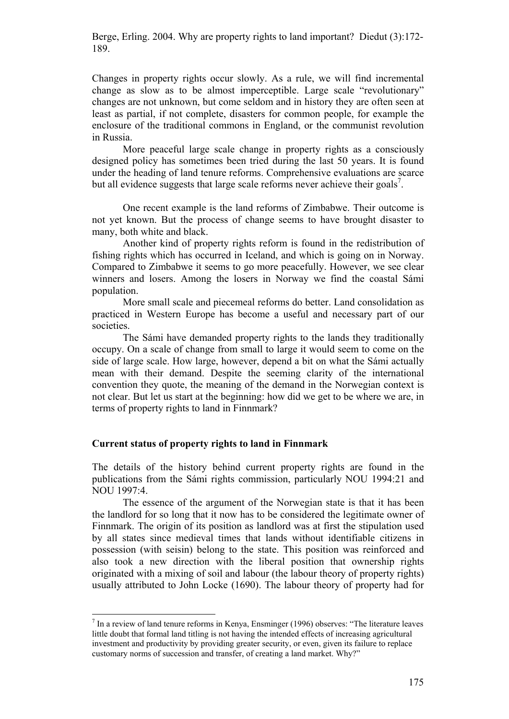Changes in property rights occur slowly. As a rule, we will find incremental change as slow as to be almost imperceptible. Large scale "revolutionary" changes are not unknown, but come seldom and in history they are often seen at least as partial, if not complete, disasters for common people, for example the enclosure of the traditional commons in England, or the communist revolution in Russia.

More peaceful large scale change in property rights as a consciously designed policy has sometimes been tried during the last 50 years. It is found under the heading of land tenure reforms. Comprehensive evaluations are scarce but all evidence suggests that large scale reforms never achieve their goals<sup>7</sup>.

One recent example is the land reforms of Zimbabwe. Their outcome is not yet known. But the process of change seems to have brought disaster to many, both white and black.

Another kind of property rights reform is found in the redistribution of fishing rights which has occurred in Iceland, and which is going on in Norway. Compared to Zimbabwe it seems to go more peacefully. However, we see clear winners and losers. Among the losers in Norway we find the coastal Sámi population.

More small scale and piecemeal reforms do better. Land consolidation as practiced in Western Europe has become a useful and necessary part of our societies.

The Sámi have demanded property rights to the lands they traditionally occupy. On a scale of change from small to large it would seem to come on the side of large scale. How large, however, depend a bit on what the Sámi actually mean with their demand. Despite the seeming clarity of the international convention they quote, the meaning of the demand in the Norwegian context is not clear. But let us start at the beginning: how did we get to be where we are, in terms of property rights to land in Finnmark?

## **Current status of property rights to land in Finnmark**

 $\overline{a}$ 

The details of the history behind current property rights are found in the publications from the Sámi rights commission, particularly NOU 1994:21 and NOU 1997:4.

The essence of the argument of the Norwegian state is that it has been the landlord for so long that it now has to be considered the legitimate owner of Finnmark. The origin of its position as landlord was at first the stipulation used by all states since medieval times that lands without identifiable citizens in possession (with seisin) belong to the state. This position was reinforced and also took a new direction with the liberal position that ownership rights originated with a mixing of soil and labour (the labour theory of property rights) usually attributed to John Locke (1690). The labour theory of property had for

 $<sup>7</sup>$  In a review of land tenure reforms in Kenya, Ensminger (1996) observes: "The literature leaves</sup> little doubt that formal land titling is not having the intended effects of increasing agricultural investment and productivity by providing greater security, or even, given its failure to replace customary norms of succession and transfer, of creating a land market. Why?"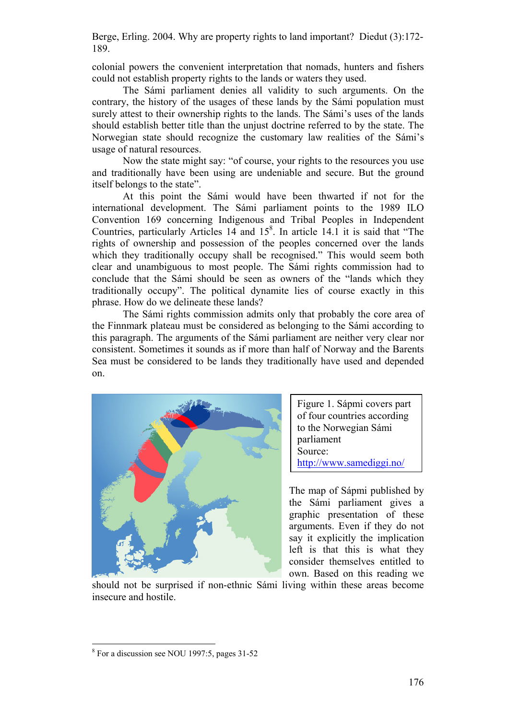colonial powers the convenient interpretation that nomads, hunters and fishers could not establish property rights to the lands or waters they used.

The Sámi parliament denies all validity to such arguments. On the contrary, the history of the usages of these lands by the Sámi population must surely attest to their ownership rights to the lands. The Sámi's uses of the lands should establish better title than the unjust doctrine referred to by the state. The Norwegian state should recognize the customary law realities of the Sámi's usage of natural resources.

Now the state might say: "of course, your rights to the resources you use and traditionally have been using are undeniable and secure. But the ground itself belongs to the state".

At this point the Sámi would have been thwarted if not for the international development. The Sámi parliament points to the 1989 ILO Convention 169 concerning Indigenous and Tribal Peoples in Independent Countries, particularly Articles 14 and  $15<sup>8</sup>$ . In article 14.1 it is said that "The rights of ownership and possession of the peoples concerned over the lands which they traditionally occupy shall be recognised." This would seem both clear and unambiguous to most people. The Sámi rights commission had to conclude that the Sámi should be seen as owners of the "lands which they traditionally occupy". The political dynamite lies of course exactly in this phrase. How do we delineate these lands?

The Sámi rights commission admits only that probably the core area of the Finnmark plateau must be considered as belonging to the Sámi according to this paragraph. The arguments of the Sámi parliament are neither very clear nor consistent. Sometimes it sounds as if more than half of Norway and the Barents Sea must be considered to be lands they traditionally have used and depended on.



Figure 1. Sápmi covers part of four countries according to the Norwegian Sámi parliament Source: http://www.samediggi.no/

The map of Sápmi published by the Sámi parliament gives a graphic presentation of these arguments. Even if they do not say it explicitly the implication left is that this is what they consider themselves entitled to own. Based on this reading we

should not be surprised if non-ethnic Sámi living within these areas become insecure and hostile.

<sup>8</sup> For a discussion see NOU 1997:5, pages 31-52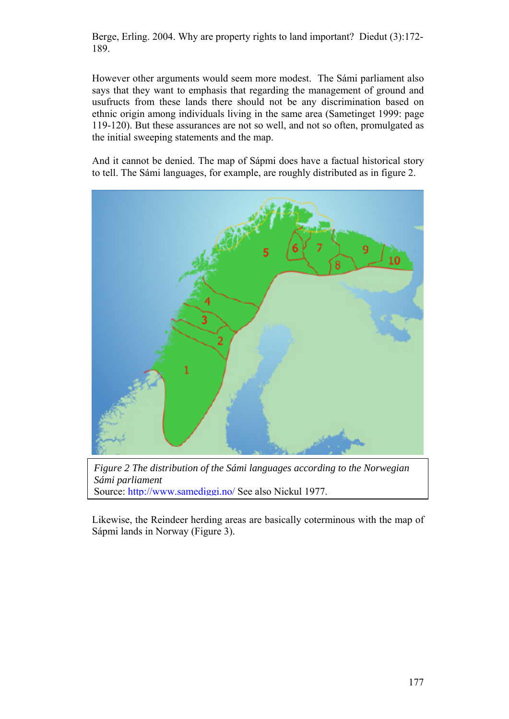However other arguments would seem more modest. The Sámi parliament also says that they want to emphasis that regarding the management of ground and usufructs from these lands there should not be any discrimination based on ethnic origin among individuals living in the same area (Sametinget 1999: page 119-120). But these assurances are not so well, and not so often, promulgated as the initial sweeping statements and the map.

And it cannot be denied. The map of Sápmi does have a factual historical story to tell. The Sámi languages, for example, are roughly distributed as in figure 2.



*Figure 2 The distribution of the Sámi languages according to the Norwegian Sámi parliament*  Source: http://www.samediggi.no/ See also Nickul 1977.

Likewise, the Reindeer herding areas are basically coterminous with the map of Sápmi lands in Norway (Figure 3).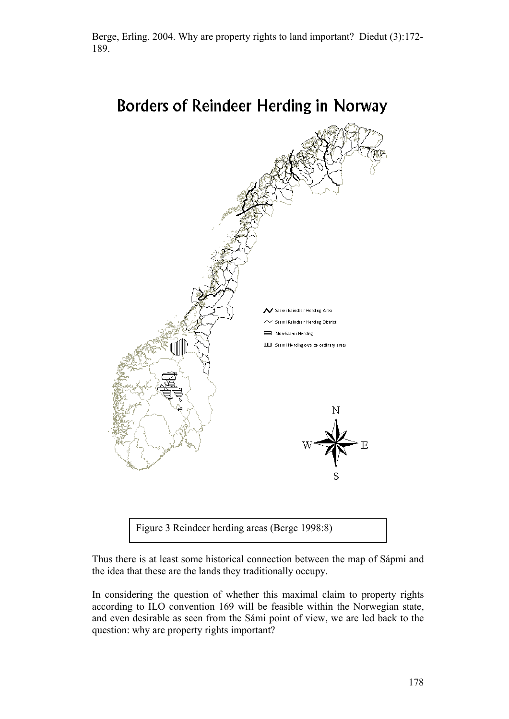

**Borders of Reindeer Herding in Norway** 

Thus there is at least some historical connection between the map of Sápmi and

the idea that these are the lands they traditionally occupy.

Figure 3 Reindeer herding areas (Berge 1998:8)

In considering the question of whether this maximal claim to property rights according to ILO convention 169 will be feasible within the Norwegian state, and even desirable as seen from the Sámi point of view, we are led back to the question: why are property rights important?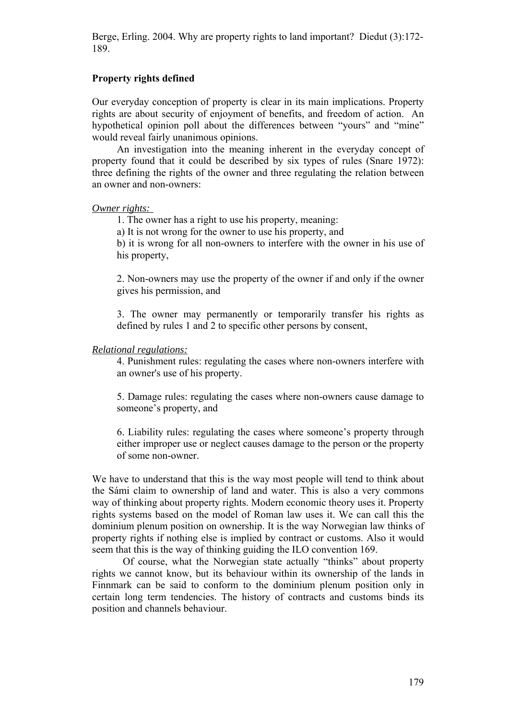## **Property rights defined**

Our everyday conception of property is clear in its main implications. Property rights are about security of enjoyment of benefits, and freedom of action. An hypothetical opinion poll about the differences between "yours" and "mine" would reveal fairly unanimous opinions.

 An investigation into the meaning inherent in the everyday concept of property found that it could be described by six types of rules (Snare 1972): three defining the rights of the owner and three regulating the relation between an owner and non-owners:

#### *Owner rights:*

1. The owner has a right to use his property, meaning:

a) It is not wrong for the owner to use his property, and

b) it is wrong for all non-owners to interfere with the owner in his use of his property,

2. Non-owners may use the property of the owner if and only if the owner gives his permission, and

3. The owner may permanently or temporarily transfer his rights as defined by rules 1 and 2 to specific other persons by consent,

#### *Relational regulations:*

4. Punishment rules: regulating the cases where non-owners interfere with an owner's use of his property.

5. Damage rules: regulating the cases where non-owners cause damage to someone's property, and

6. Liability rules: regulating the cases where someone's property through either improper use or neglect causes damage to the person or the property of some non-owner.

We have to understand that this is the way most people will tend to think about the Sámi claim to ownership of land and water. This is also a very commons way of thinking about property rights. Modern economic theory uses it. Property rights systems based on the model of Roman law uses it. We can call this the dominium plenum position on ownership. It is the way Norwegian law thinks of property rights if nothing else is implied by contract or customs. Also it would seem that this is the way of thinking guiding the ILO convention 169.

Of course, what the Norwegian state actually "thinks" about property rights we cannot know, but its behaviour within its ownership of the lands in Finnmark can be said to conform to the dominium plenum position only in certain long term tendencies. The history of contracts and customs binds its position and channels behaviour.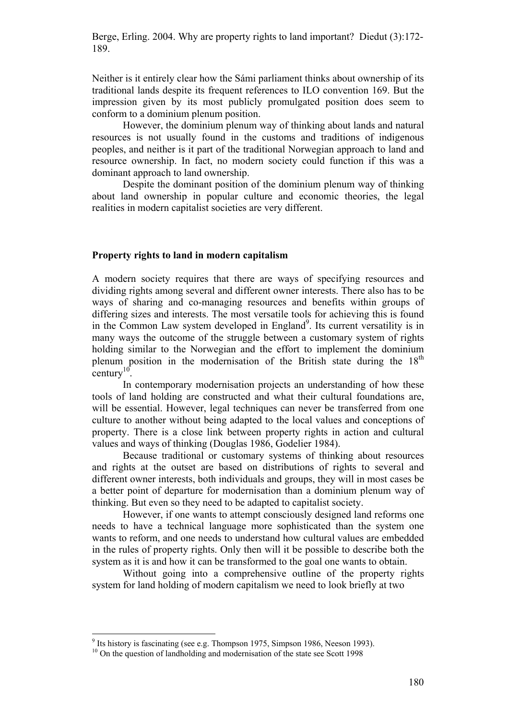Neither is it entirely clear how the Sámi parliament thinks about ownership of its traditional lands despite its frequent references to ILO convention 169. But the impression given by its most publicly promulgated position does seem to conform to a dominium plenum position.

However, the dominium plenum way of thinking about lands and natural resources is not usually found in the customs and traditions of indigenous peoples, and neither is it part of the traditional Norwegian approach to land and resource ownership. In fact, no modern society could function if this was a dominant approach to land ownership.

Despite the dominant position of the dominium plenum way of thinking about land ownership in popular culture and economic theories, the legal realities in modern capitalist societies are very different.

### **Property rights to land in modern capitalism**

A modern society requires that there are ways of specifying resources and dividing rights among several and different owner interests. There also has to be ways of sharing and co-managing resources and benefits within groups of differing sizes and interests. The most versatile tools for achieving this is found in the Common Law system developed in England<sup>9</sup>. Its current versatility is in many ways the outcome of the struggle between a customary system of rights holding similar to the Norwegian and the effort to implement the dominium plenum position in the modernisation of the British state during the  $18<sup>th</sup>$ century<sup>10</sup>

In contemporary modernisation projects an understanding of how these tools of land holding are constructed and what their cultural foundations are, will be essential. However, legal techniques can never be transferred from one culture to another without being adapted to the local values and conceptions of property. There is a close link between property rights in action and cultural values and ways of thinking (Douglas 1986, Godelier 1984).

Because traditional or customary systems of thinking about resources and rights at the outset are based on distributions of rights to several and different owner interests, both individuals and groups, they will in most cases be a better point of departure for modernisation than a dominium plenum way of thinking. But even so they need to be adapted to capitalist society.

However, if one wants to attempt consciously designed land reforms one needs to have a technical language more sophisticated than the system one wants to reform, and one needs to understand how cultural values are embedded in the rules of property rights. Only then will it be possible to describe both the system as it is and how it can be transformed to the goal one wants to obtain.

Without going into a comprehensive outline of the property rights system for land holding of modern capitalism we need to look briefly at two

 $9$  Its history is fascinating (see e.g. Thompson 1975, Simpson 1986, Neeson 1993).

<sup>&</sup>lt;sup>10</sup> On the question of landholding and modernisation of the state see Scott 1998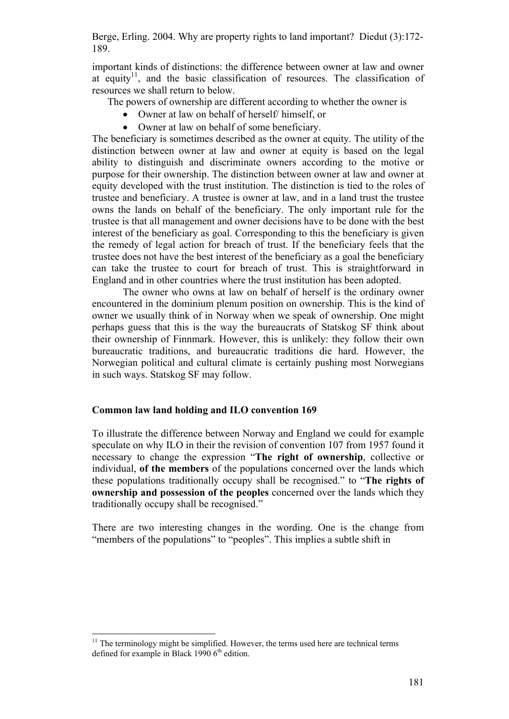important kinds of distinctions: the difference between owner at law and owner at equity<sup>11</sup>, and the basic classification of resources. The classification of resources we shall return to below.

The powers of ownership are different according to whether the owner is

- Owner at law on behalf of herself/ himself, or
- Owner at law on behalf of some beneficiary.

The beneficiary is sometimes described as the owner at equity. The utility of the distinction between owner at law and owner at equity is based on the legal ability to distinguish and discriminate owners according to the motive or purpose for their ownership. The distinction between owner at law and owner at equity developed with the trust institution. The distinction is tied to the roles of trustee and beneficiary. A trustee is owner at law, and in a land trust the trustee owns the lands on behalf of the beneficiary. The only important rule for the trustee is that all management and owner decisions have to be done with the best interest of the beneficiary as goal. Corresponding to this the beneficiary is given the remedy of legal action for breach of trust. If the beneficiary feels that the trustee does not have the best interest of the beneficiary as a goal the beneficiary can take the trustee to court for breach of trust. This is straightforward in England and in other countries where the trust institution has been adopted.

The owner who owns at law on behalf of herself is the ordinary owner encountered in the dominium plenum position on ownership. This is the kind of owner we usually think of in Norway when we speak of ownership. One might perhaps guess that this is the way the bureaucrats of Statskog SF think about their ownership of Finnmark. However, this is unlikely: they follow their own bureaucratic traditions, and bureaucratic traditions die hard. However, the Norwegian political and cultural climate is certainly pushing most Norwegians in such ways. Statskog SF may follow.

# **Common law land holding and ILO convention 169**

To illustrate the difference between Norway and England we could for example speculate on why ILO in their the revision of convention 107 from 1957 found it necessary to change the expression "**The right of ownership**, collective or individual, **of the members** of the populations concerned over the lands which these populations traditionally occupy shall be recognised." to "**The rights of ownership and possession of the peoples** concerned over the lands which they traditionally occupy shall be recognised."

There are two interesting changes in the wording. One is the change from "members of the populations" to "peoples". This implies a subtle shift in

 $11$  The terminology might be simplified. However, the terms used here are technical terms defined for example in Black 1990  $6<sup>th</sup>$  edition.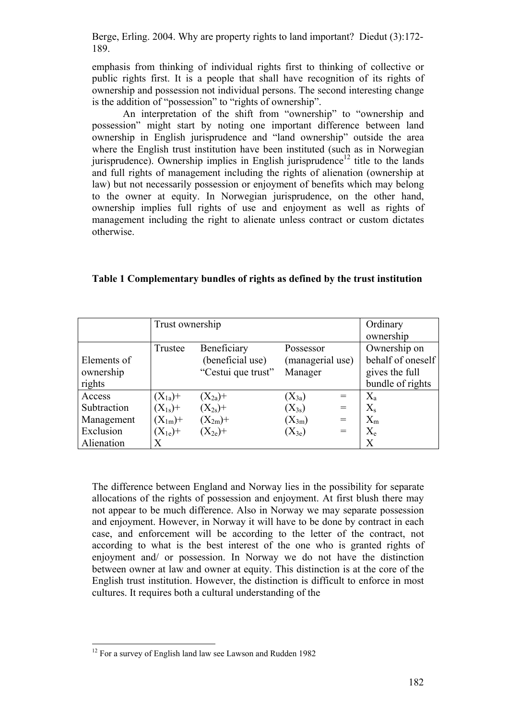emphasis from thinking of individual rights first to thinking of collective or public rights first. It is a people that shall have recognition of its rights of ownership and possession not individual persons. The second interesting change is the addition of "possession" to "rights of ownership".

An interpretation of the shift from "ownership" to "ownership and possession" might start by noting one important difference between land ownership in English jurisprudence and "land ownership" outside the area where the English trust institution have been instituted (such as in Norwegian jurisprudence). Ownership implies in English jurisprudence<sup>12</sup> title to the lands and full rights of management including the rights of alienation (ownership at law) but not necessarily possession or enjoyment of benefits which may belong to the owner at equity. In Norwegian jurisprudence, on the other hand, ownership implies full rights of use and enjoyment as well as rights of management including the right to alienate unless contract or custom dictates otherwise.

**Table 1 Complementary bundles of rights as defined by the trust institution** 

|             | Trust ownership |                    |                  |     | Ordinary          |
|-------------|-----------------|--------------------|------------------|-----|-------------------|
|             |                 |                    |                  |     | ownership         |
|             | Trustee         | Beneficiary        | Possessor        |     | Ownership on      |
| Elements of |                 | (beneficial use)   | (managerial use) |     | behalf of oneself |
| ownership   |                 | "Cestui que trust" | Manager          |     | gives the full    |
| rights      |                 |                    |                  |     | bundle of rights  |
| Access      | $(X_{1a})+$     | $(X_{2a})+$        | $(X_{3a})$       | $=$ | $X_{a}$           |
| Subtraction | $(X_{1s})+$     | $(X_{2s})+$        | $(X_{3s})$       | $=$ | $X_{s}$           |
| Management  | $(X_{1m})+$     | $(X_{2m})+$        | $(X_{3m})$       | $=$ | $X_{m}$           |
| Exclusion   | $(X_{1e})+$     | $(X_{2e})+$        | $(X_{3e})$       | $=$ | $X_{e}$           |
| Alienation  | Х               |                    |                  |     | X                 |

The difference between England and Norway lies in the possibility for separate allocations of the rights of possession and enjoyment. At first blush there may not appear to be much difference. Also in Norway we may separate possession and enjoyment. However, in Norway it will have to be done by contract in each case, and enforcement will be according to the letter of the contract, not according to what is the best interest of the one who is granted rights of enjoyment and/ or possession. In Norway we do not have the distinction between owner at law and owner at equity. This distinction is at the core of the English trust institution. However, the distinction is difficult to enforce in most cultures. It requires both a cultural understanding of the

 $12$  For a survey of English land law see Lawson and Rudden 1982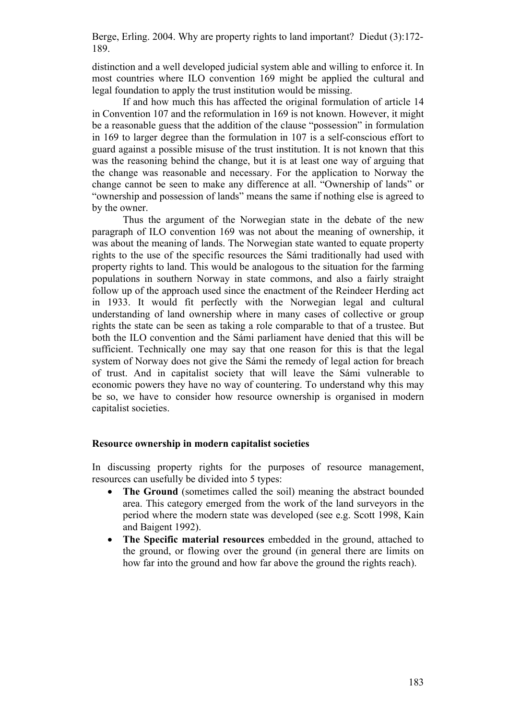distinction and a well developed judicial system able and willing to enforce it. In most countries where ILO convention 169 might be applied the cultural and legal foundation to apply the trust institution would be missing.

If and how much this has affected the original formulation of article 14 in Convention 107 and the reformulation in 169 is not known. However, it might be a reasonable guess that the addition of the clause "possession" in formulation in 169 to larger degree than the formulation in 107 is a self-conscious effort to guard against a possible misuse of the trust institution. It is not known that this was the reasoning behind the change, but it is at least one way of arguing that the change was reasonable and necessary. For the application to Norway the change cannot be seen to make any difference at all. "Ownership of lands" or "ownership and possession of lands" means the same if nothing else is agreed to by the owner.

Thus the argument of the Norwegian state in the debate of the new paragraph of ILO convention 169 was not about the meaning of ownership, it was about the meaning of lands. The Norwegian state wanted to equate property rights to the use of the specific resources the Sámi traditionally had used with property rights to land. This would be analogous to the situation for the farming populations in southern Norway in state commons, and also a fairly straight follow up of the approach used since the enactment of the Reindeer Herding act in 1933. It would fit perfectly with the Norwegian legal and cultural understanding of land ownership where in many cases of collective or group rights the state can be seen as taking a role comparable to that of a trustee. But both the ILO convention and the Sámi parliament have denied that this will be sufficient. Technically one may say that one reason for this is that the legal system of Norway does not give the Sámi the remedy of legal action for breach of trust. And in capitalist society that will leave the Sámi vulnerable to economic powers they have no way of countering. To understand why this may be so, we have to consider how resource ownership is organised in modern capitalist societies.

### **Resource ownership in modern capitalist societies**

In discussing property rights for the purposes of resource management, resources can usefully be divided into 5 types:

- **The Ground** (sometimes called the soil) meaning the abstract bounded area. This category emerged from the work of the land surveyors in the period where the modern state was developed (see e.g. Scott 1998, Kain and Baigent 1992).
- **The Specific material resources** embedded in the ground, attached to the ground, or flowing over the ground (in general there are limits on how far into the ground and how far above the ground the rights reach).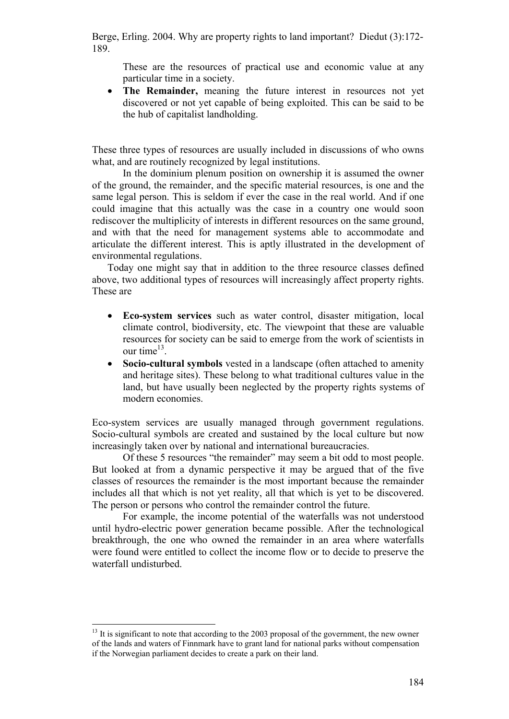These are the resources of practical use and economic value at any particular time in a society.

 **The Remainder,** meaning the future interest in resources not yet discovered or not yet capable of being exploited. This can be said to be the hub of capitalist landholding.

These three types of resources are usually included in discussions of who owns what, and are routinely recognized by legal institutions.

In the dominium plenum position on ownership it is assumed the owner of the ground, the remainder, and the specific material resources, is one and the same legal person. This is seldom if ever the case in the real world. And if one could imagine that this actually was the case in a country one would soon rediscover the multiplicity of interests in different resources on the same ground, and with that the need for management systems able to accommodate and articulate the different interest. This is aptly illustrated in the development of environmental regulations.

Today one might say that in addition to the three resource classes defined above, two additional types of resources will increasingly affect property rights. These are

- **Eco-system services** such as water control, disaster mitigation, local climate control, biodiversity, etc. The viewpoint that these are valuable resources for society can be said to emerge from the work of scientists in our time $^{13}$ .
- **Socio-cultural symbols** vested in a landscape (often attached to amenity and heritage sites). These belong to what traditional cultures value in the land, but have usually been neglected by the property rights systems of modern economies.

Eco-system services are usually managed through government regulations. Socio-cultural symbols are created and sustained by the local culture but now increasingly taken over by national and international bureaucracies.

Of these 5 resources "the remainder" may seem a bit odd to most people. But looked at from a dynamic perspective it may be argued that of the five classes of resources the remainder is the most important because the remainder includes all that which is not yet reality, all that which is yet to be discovered. The person or persons who control the remainder control the future.

For example, the income potential of the waterfalls was not understood until hydro-electric power generation became possible. After the technological breakthrough, the one who owned the remainder in an area where waterfalls were found were entitled to collect the income flow or to decide to preserve the waterfall undisturbed.

 $13$  It is significant to note that according to the 2003 proposal of the government, the new owner of the lands and waters of Finnmark have to grant land for national parks without compensation if the Norwegian parliament decides to create a park on their land.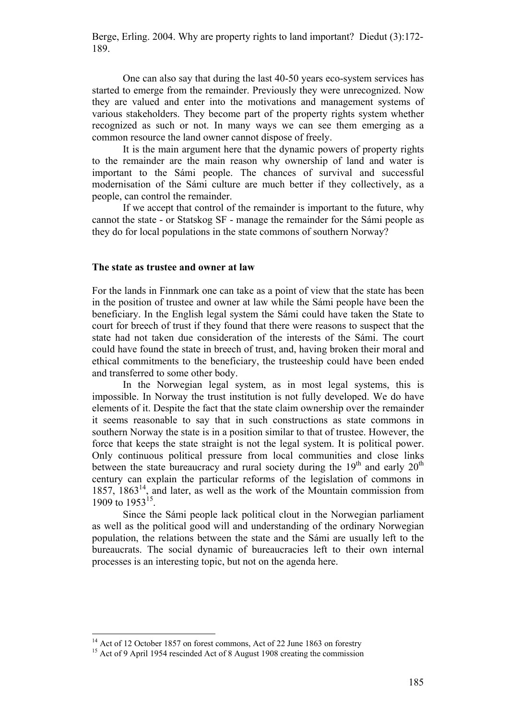One can also say that during the last 40-50 years eco-system services has started to emerge from the remainder. Previously they were unrecognized. Now they are valued and enter into the motivations and management systems of various stakeholders. They become part of the property rights system whether recognized as such or not. In many ways we can see them emerging as a common resource the land owner cannot dispose of freely.

It is the main argument here that the dynamic powers of property rights to the remainder are the main reason why ownership of land and water is important to the Sámi people. The chances of survival and successful modernisation of the Sámi culture are much better if they collectively, as a people, can control the remainder.

If we accept that control of the remainder is important to the future, why cannot the state - or Statskog SF - manage the remainder for the Sámi people as they do for local populations in the state commons of southern Norway?

### **The state as trustee and owner at law**

For the lands in Finnmark one can take as a point of view that the state has been in the position of trustee and owner at law while the Sámi people have been the beneficiary. In the English legal system the Sámi could have taken the State to court for breech of trust if they found that there were reasons to suspect that the state had not taken due consideration of the interests of the Sámi. The court could have found the state in breech of trust, and, having broken their moral and ethical commitments to the beneficiary, the trusteeship could have been ended and transferred to some other body.

In the Norwegian legal system, as in most legal systems, this is impossible. In Norway the trust institution is not fully developed. We do have elements of it. Despite the fact that the state claim ownership over the remainder it seems reasonable to say that in such constructions as state commons in southern Norway the state is in a position similar to that of trustee. However, the force that keeps the state straight is not the legal system. It is political power. Only continuous political pressure from local communities and close links between the state bureaucracy and rural society during the  $19<sup>th</sup>$  and early  $20<sup>th</sup>$ century can explain the particular reforms of the legislation of commons in 1857,  $1863<sup>14</sup>$ , and later, as well as the work of the Mountain commission from 1909 to  $1953^{15}$ .

Since the Sámi people lack political clout in the Norwegian parliament as well as the political good will and understanding of the ordinary Norwegian population, the relations between the state and the Sámi are usually left to the bureaucrats. The social dynamic of bureaucracies left to their own internal processes is an interesting topic, but not on the agenda here.

<sup>&</sup>lt;sup>14</sup> Act of 12 October 1857 on forest commons, Act of 22 June 1863 on forestry

<sup>&</sup>lt;sup>15</sup> Act of 9 April 1954 rescinded Act of 8 August 1908 creating the commission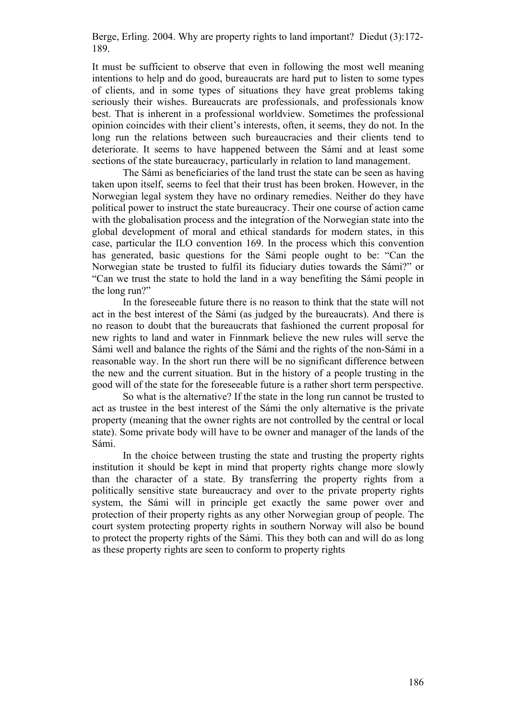It must be sufficient to observe that even in following the most well meaning intentions to help and do good, bureaucrats are hard put to listen to some types of clients, and in some types of situations they have great problems taking seriously their wishes. Bureaucrats are professionals, and professionals know best. That is inherent in a professional worldview. Sometimes the professional opinion coincides with their client's interests, often, it seems, they do not. In the long run the relations between such bureaucracies and their clients tend to deteriorate. It seems to have happened between the Sámi and at least some sections of the state bureaucracy, particularly in relation to land management.

The Sámi as beneficiaries of the land trust the state can be seen as having taken upon itself, seems to feel that their trust has been broken. However, in the Norwegian legal system they have no ordinary remedies. Neither do they have political power to instruct the state bureaucracy. Their one course of action came with the globalisation process and the integration of the Norwegian state into the global development of moral and ethical standards for modern states, in this case, particular the ILO convention 169. In the process which this convention has generated, basic questions for the Sámi people ought to be: "Can the Norwegian state be trusted to fulfil its fiduciary duties towards the Sámi?" or "Can we trust the state to hold the land in a way benefiting the Sámi people in the long run?"

In the foreseeable future there is no reason to think that the state will not act in the best interest of the Sámi (as judged by the bureaucrats). And there is no reason to doubt that the bureaucrats that fashioned the current proposal for new rights to land and water in Finnmark believe the new rules will serve the Sámi well and balance the rights of the Sámi and the rights of the non-Sámi in a reasonable way. In the short run there will be no significant difference between the new and the current situation. But in the history of a people trusting in the good will of the state for the foreseeable future is a rather short term perspective.

So what is the alternative? If the state in the long run cannot be trusted to act as trustee in the best interest of the Sámi the only alternative is the private property (meaning that the owner rights are not controlled by the central or local state). Some private body will have to be owner and manager of the lands of the Sámi.

In the choice between trusting the state and trusting the property rights institution it should be kept in mind that property rights change more slowly than the character of a state. By transferring the property rights from a politically sensitive state bureaucracy and over to the private property rights system, the Sámi will in principle get exactly the same power over and protection of their property rights as any other Norwegian group of people. The court system protecting property rights in southern Norway will also be bound to protect the property rights of the Sámi. This they both can and will do as long as these property rights are seen to conform to property rights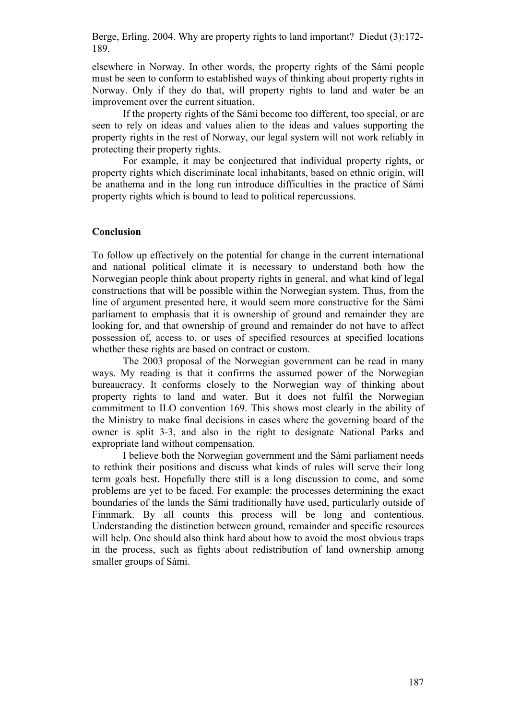elsewhere in Norway. In other words, the property rights of the Sámi people must be seen to conform to established ways of thinking about property rights in Norway. Only if they do that, will property rights to land and water be an improvement over the current situation.

If the property rights of the Sámi become too different, too special, or are seen to rely on ideas and values alien to the ideas and values supporting the property rights in the rest of Norway, our legal system will not work reliably in protecting their property rights.

For example, it may be conjectured that individual property rights, or property rights which discriminate local inhabitants, based on ethnic origin, will be anathema and in the long run introduce difficulties in the practice of Sámi property rights which is bound to lead to political repercussions.

# **Conclusion**

To follow up effectively on the potential for change in the current international and national political climate it is necessary to understand both how the Norwegian people think about property rights in general, and what kind of legal constructions that will be possible within the Norwegian system. Thus, from the line of argument presented here, it would seem more constructive for the Sámi parliament to emphasis that it is ownership of ground and remainder they are looking for, and that ownership of ground and remainder do not have to affect possession of, access to, or uses of specified resources at specified locations whether these rights are based on contract or custom.

The 2003 proposal of the Norwegian government can be read in many ways. My reading is that it confirms the assumed power of the Norwegian bureaucracy. It conforms closely to the Norwegian way of thinking about property rights to land and water. But it does not fulfil the Norwegian commitment to ILO convention 169. This shows most clearly in the ability of the Ministry to make final decisions in cases where the governing board of the owner is split 3-3, and also in the right to designate National Parks and expropriate land without compensation.

I believe both the Norwegian government and the Sámi parliament needs to rethink their positions and discuss what kinds of rules will serve their long term goals best. Hopefully there still is a long discussion to come, and some problems are yet to be faced. For example: the processes determining the exact boundaries of the lands the Sámi traditionally have used, particularly outside of Finnmark. By all counts this process will be long and contentious. Understanding the distinction between ground, remainder and specific resources will help. One should also think hard about how to avoid the most obvious traps in the process, such as fights about redistribution of land ownership among smaller groups of Sámi.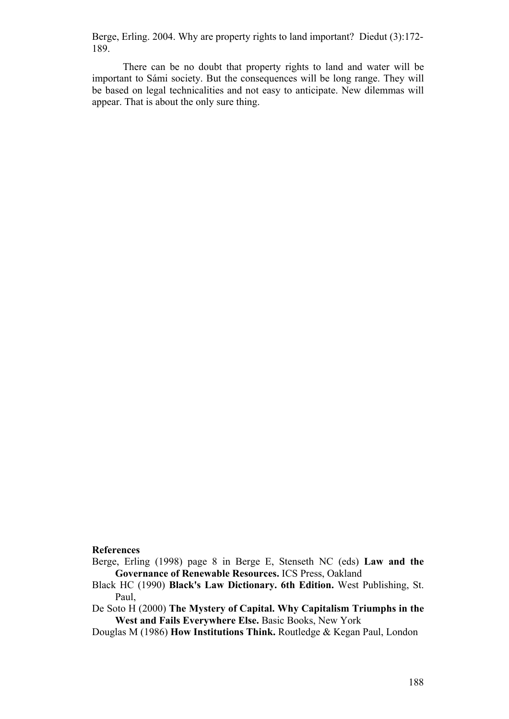There can be no doubt that property rights to land and water will be important to Sámi society. But the consequences will be long range. They will be based on legal technicalities and not easy to anticipate. New dilemmas will appear. That is about the only sure thing.

### **References**

- Berge, Erling (1998) page 8 in Berge E, Stenseth NC (eds) **Law and the Governance of Renewable Resources.** ICS Press, Oakland
- Black HC (1990) **Black's Law Dictionary. 6th Edition.** West Publishing, St. Paul,
- De Soto H (2000) **The Mystery of Capital. Why Capitalism Triumphs in the West and Fails Everywhere Else.** Basic Books, New York
- Douglas M (1986) **How Institutions Think.** Routledge & Kegan Paul, London